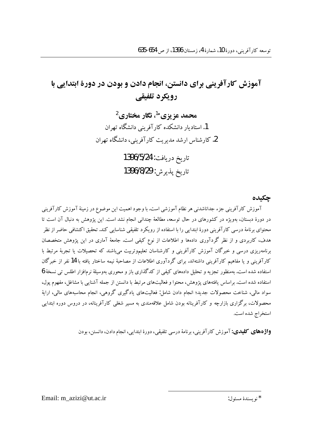# آموزش کارآفرینی برای دانستن، انجام دادن و بودن در دورهٔ ابتدایی با رویکرد تلفیقی

محمد عز پزي\*<sup>1</sup>، نگار مختاري<sup>2</sup> 1. استادیار دانشکده کار آفرینی دانشگاه تهران 2. کارشناس ارشد مدیریت کارآفرینی، دانشگاه تهران

> تاريخ دريافت: 1396/5/24 تاريخ پذير ش: 1396/8/29

### جكىدە

آموزش کارآفرینی جزء جداناشدنی هر نظام آموزشی است. با وجود اهمیت این موضوع در زمینهٔ آموزش کارآفرینی در دورهٔ دبستان، بهویژه در کشورهای در حال توسعه، مطالعهٔ چندانی انجام نشد است. این پژوهش به دنبال آن است تا محتواي برنامهٔ درسی کارآفرینی دورهٔ ابتدایی را با استفاده از رویکرد تلفیقی شناسایی کند. تحقیق اکتشافی حاضر از نظر هدف، کاربردی و از نظر گردآوری دادهها و اطلاعات از نوع کیفی است. جامعهٔ آماری در این پژوهش متخصصان برنامهریزی درسی و خبرگان آموزش کارآفرینی و کارشناسان تعلیموتربیت می،باشند که تحصیلات یا تجربهٔ مرتبط با کارآفرینی و یا مفاهیم کارآفرینی داشتهاند. برای گردآوری اطلاعات از مصاحبهٔ نیمه ساختار یافته با 14 نفر از خبرگان استفاده شده است. بهمنظور تجزیه و تحلیل دادههای کیفی از کدگذاری باز و محوری بهوسیلهٔ نرمافزار اطلس تی نسخهٔ 6 استفاده شده است. براساس یافتههای یژوهش، محتوا و فعالیتهای مرتبط با دانستن از جمله آشنایی با مشاغل، مفهوم پول، سواد مالی، شناخت محصولات جدید؛ انجام دادن شامل: فعالیتهای یادگیری گروهی، انجام محاسبههای مالی، ارایهٔ محصولات، برگزاری بازارچه و کارآفرینانه بودن شامل علاقهمندی به مسیر شغلی کارآفرینانه، در دروس دوره ابتدایی استخراج شده است.

**واژههای کلیدی:** آموزش کارآفرینی، برنامهٔ درسی تلفیقی، دورهٔ ابتدایی، انجام دادن، دانستن، بودن

\* نو يسندهٔ مسئول:

Email: m\_azizi@ut.ac.ir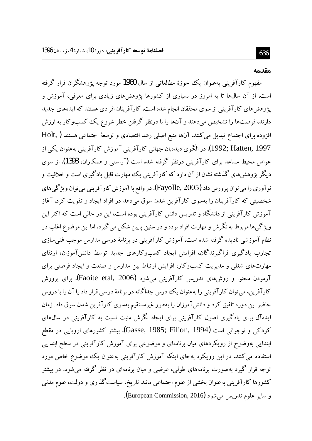#### مقدمه

مفهوم کارآفرینی بهعنوان یک حوزهٔ مطالعاتی از سال 1960 مورد توجه پژوهشگران قرار گرفته است. از آن سال\$ا تا به امروز در بسیاری از کشورها یژوهشهای زیادی برای معرفی، آموزش و پژوهشهای کارآفرینی از سوی محققان انجام شده است. کارآفرینان افرادی هستند که ایدههای جدید دارند، فرصتها را تشخیص میدهند و آنها را با درنظر گرفتن خطر شروع یک کسبوکار به ارزش افزوده برای اجتماع تبدیل می کنند. آنها منبع اصلی رشد اقتصادی و توسعهٔ اجتماعی هستند ( Holt 1997, Hatten, 1997). در الگوی دیدهبان جهانی کارآفرینی آموزش کارآفرینی بهعنوان یکی از عوامل محیط مساعد برای کارآفرینی درنظر گرفته شده است (آراستی و همکاران، 1393). از سوی دیگر پژوهش های گذشته نشان از آن دارد که کارآفرینی یک مهارت قابل یادگیری است و خلاقیت و نو آوري را مي توان پرورش داد (Fayolle, 2005). در واقع با آموزش کار آفريني مي توان ويژگي هاي شخصیتی که کارآفرینان را بهسوی کارآفرین شدن سوق می،دهد در افراد ایجاد و تقویت کرد. آغاز آموزش کارآفرینی از دانشگاه و تدریس دانش کارآفرینی بوده است، این در حالی است که اکثر این ویژ گی ها مربوط به نگرش و مهارت افراد بوده و در سنین پایین شکل می گیرد. اما این موضوع اغلب در نظام آموزشی نادیده گرفته شده است. آموزش کارآفرینی در برنامهٔ درسی مدارس موجب غنی سازی تجارب یادگیری فراگیرندگان، افزایش ایجاد کسبوکارهای جدید توسط دانش آموزان، ارتقای مهارتهای شغلی و مدیریت کسبوکار، افزایش ارتباط بین مدارس و صنعت و ایجاد فرصتی برای آزمودن محتوا و روشهای تدریس کارآفرینی میشود (Faoite etal, 2006). برای پرورش کار آفرین، می توان کار آفرینی را بهعنوان یک درس جداگانه در برنامهٔ درسی قرار داد یا آن را با دروس حاضر این دوره تلفیق کرد و دانش آموزان را بهطور غیرمستقیم بهسوی کارآفرین شدن سوق داد. زمان ایدهآل برای یادگیری اصول کارآفرینی برای ایجاد نگرش مثبت نسبت به کارآفرینی در سال0های کودکی و نوجوانی است (Gasse, 1985; Filion, 1994). بیشتر کشورهای اروپایی در مقطع ابتدایی بهوضوح از رویکردهای میان برنامهای و موضوعی برای آموزش کارآفرینی در سطح ابتدایی استفاده می کنند. در این رویکرد بهجای اینکه آموزش کارآفرینی بهعنوان یک موضوع خاص مورد توجه قرار گیرد بهصورت برنامههای طولی، عرضی و میان برنامهای در نظر گرفته می شود. در بیشتر کشورها کارآفرینی بهعنوان بخشی از علوم اجتماعی مانند تاریخ، سیاست گذاری و دولت، علوم مدنی و ساير علوم تدريس مي شود (European Commission, 2016).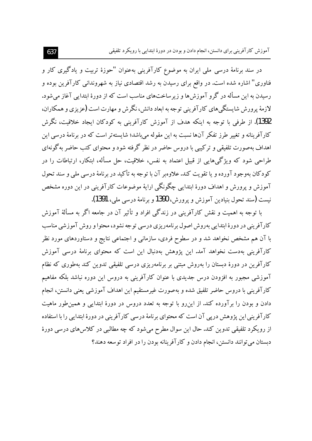در سند برنامهٔ درسی ملی ایران به موضوع کارآفرینی بهعنوان "حوزهٔ تربیت و یادگیری کار و فناوری" اشاره شده است. در واقع برای رسیدن به رشد اقتصادی نیاز به شهروندانی کارآفرین بوده و رسیدن به این مسأله در گرو آموزش ها و زیر ساختهای مناسب است که از دورهٔ ابتدایی آغاز می شود. لازمهٔ پرورش شایستگی های کارآفرینی توجه به ابعاد دانش، نگرش و مهارت است (عزیزی و همکاران، 1392). از طرفی با توجه به اینکه هدف از آموزش کارآفرینی به کودکان ایجاد خلاقیت، نگرش کارآفرینانه و تغییر طرز تفکر آنها نسبت به این مقوله می باشد؛ شایسته تر است که در برنامهٔ درسی این اهداف بهصورت تلفیقی و ترکیبی با دروس حاضر در نظر گرفته شود و محتوای کتب حاضر به گونهای طراحی شود که ویژگیهایی از قبیل اعتماد به نفس، خلاقیت، حل مسأله، ابتکار، ارتباطات را در کودکان پهوجود آورده و یا تقویت کند.علاوهىر آن با توجه به تأکید در برنامهٔ درسی ملی و سند تحول آموزش و یرورش و اهداف دورهٔ ابتدایی چگونگی ارایهٔ موضوعات کارآفرینی در این دوره مشخص نيست (سند تحول بنيادين آموزش و پرورش، 1390 و برنامهٔ درسی ملی، 1391).

با توجه به اهمیت و نقش کارآفرینی در زندگی افراد و تأثیر آن در جامعه اگر به مسألهٔ آموزش کارآفرینی در دورهٔ ابتدایی بهروش اصول برنامهریزی درسی توجه نشود، محتوا و روش آموزشی مناسب با آن هم مشخص نخواهد شد و در سطوح فردی، سازمانی و اجتماعی نتایج و دستاوردهای مورد نظر کارآفرینی بهدست نخواهد آمد. این پژوهش بهدنبال این است که محتوای برنامهٔ درسی آموزش کارآفرین در دورهٔ دبستان را بهروش مبتنی بر برنامهریزی درسی تلفیقی تدوین کند بهطوری که نظام آموزشی مجبور به افزودن درس جدیدی با عنوان کارآفرینی به دروس این دوره نباشد بلکه مفاهیم كارآفريني با دروس حاضر تلفيق شده و بهصورت غيرمستقيم اين اهداف آموزشي يعني دانستن، انجام دادن و بودن را بر آورده کند. از این رو با توجه به تعدد دروس در دورهٔ ابتدایی و همین طور ماهیت کارآفرینی این یژوهش دریی آن است که محتوای برنامهٔ درسی کارآفرینی در دورهٔ ابتدایی را با استفاده از رویکرد تلفیقی تدوین کند. حال این سوال مطرح میشود که چه مطالبی در کلاس۵های درسی دورهٔ دبستان می توانند دانستن، انجام دادن و کارآفرینانه بودن را در افراد توسعه دهند؟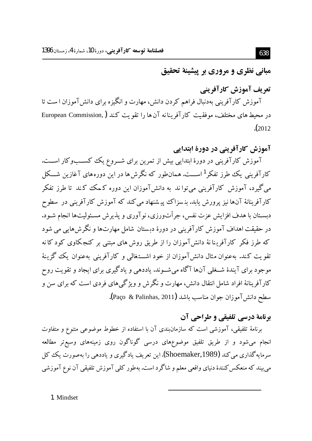مباني نظري و مروري بر پيشينهٔ تحقيق

تعریف آموزش کارآفرینی

آموزش کارآفرینی بهدنبال فراهم کردن دانش، مهارت و انگیزه برای دانش آموزان ا ست تا در محیط های مختلف، موفقیت کارآفرینانه آن ها را تقویت کند (,European Commission  $(2012$ 

آموزش کارآفرینی در دورهٔ ابتدایی

آموزش کارآفرینی در دورهٔ ابتدایی بیش از تمرین برای شـروع یک کسـبوکار اسـت. کارآفرینی یک طرز تفکر<sup>1</sup>اســت. همانطور که نگرش ها در این دورههای آغازین شـــکل می گیرد، آموزش کارآفرینی می تواند به دانش آموزان این دوره کـمک کـند تا طرز تفکر کارآفرینانهٔ آنها نیز پرورش پابد. بنسزاک پیشنهاد می کند که آموزش کارآفرینی در سطوح دبسـتان با هدف افزايش عزت نفس، جرأتورزي، نو آوري و يذيرش مسـئوليتها انجام شـود. در حقیقت اهداف آموزش کارآفرینی در دورهٔ دبستان شامل مهارتها و نگرش هایی می شود که طرز فکر کارآفرینا نهٔ دانش آموزان را از طریق روش های مبتنی بر کنجکاوی کودکا نه تقویت کند. بهعنوان مثال دانشآموزان از خود اشـــتغالمی و کارآفرینی بهعنوان یک گزینهٔ موجود برای آیندهٔ شــغلی آنها آگاه می شــوند. یاددهی و یادگیری برای ایجاد و تقویت روح کارآفرینانهٔ افراد شامل انتقال دانش، مهارت و نگرش و ویژگی های فردی است که برای سن و سطح دانش آموزان جوان مناسب باشد (Paço & Palinhas, 2011).

## برنامة درسي تلفيقي و طراحي آن

برنامهٔ تلفیقی، آموزشی است که سازمانبندی آن با استفاده از خطوط موضوعی متنوع و متفاوت انجام میشود و از طریق تلفیق موضوعهای درسی گوناگون روی زمینههای وسیعتر مطالعه سرمایه گذاری می کند (Shoemaker,1989).این تعریف یادگیری و یاددهی را بهصورت یک کل مي بيند كه منعكس كنندهٔ دنياي واقعي معلم و شاگر د است. بهطور كلي آموزش تلفيقي آن نوع آموزشي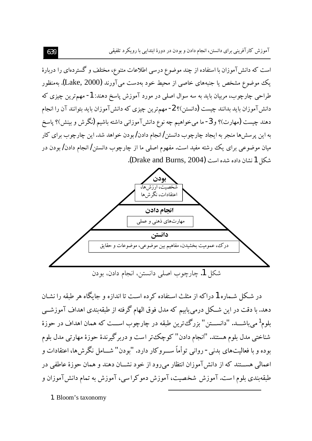است که دانش آموزان با استفاده از چند موضوع درسی اطلاعات متنوع، مختلف و گستردهای را دربارهٔ یک موضوع مشخص یا جنبههای خاصی از محیط خود بهدست می آورند (Lake, 2000). بهمنظور طراحي چارچوب، مربيان بايد به سه سوال اصلي در مورد آموزش ياسخ دهند: 1- مهمترين چيزي كه دانش آموزان باید بدانند چیست (دانستن)؟ 2- مهمترین چیزی که دانش آموزان باید بتوانند آن را انجام دهند چیست (مهارت)؟ و 3- ما میخواهیم چه نوع دانشآموزانی داشته باشیم (نگرش و بینش)؟ پاسخ به این پرسشها منجر به ایجاد چارچوب دانستن/انجام دادن/بودن خواهد شد. این چارچوب برای کار میان موضوعی برای یک رشته مفید است. مفهوم اصلی ما از چارچوب دانستن/ انجام دادن/ بودن در شكل 1 نشان داده شده است (Drake and Burns, 2004).



در شکل شـماره 1 دراکه از مثلث اسـتفاده کرده اسـت تا اندازه و جایگاه هر طبقه را نشـان دهد. با دقت در این شــکل درمییابیم که مدل فوق الهام گرفته از طبقهبندی اهداف آموزشــی بلوم<sup>1</sup> میباشـــد. "دانســـتن" بزرگءترین طبقه در چارچوب اســـت که همان اهداف در حوزهٔ شناختی مدل بلوم هستند. "انجام دادن" کوچک تر است و دربرگیرندهٔ حوزهٔ مهارتی مدل بلوم بوده و با فعالیتهای بدنی- روانی توأماً ســـروکار دارد. "بودن" شـــامل نگرشها، اعتقادات و اعمالی هســـتند که از دانشآموزان انتظار میرود از خود نشـــان دهند و همان حوزهٔ عاطفی در طبقهبندی بلوم است. آموزش شخصیت، آموزش دموکراسی، آموزش به تمام دانش آموزان و

1. Bloom's taxonomy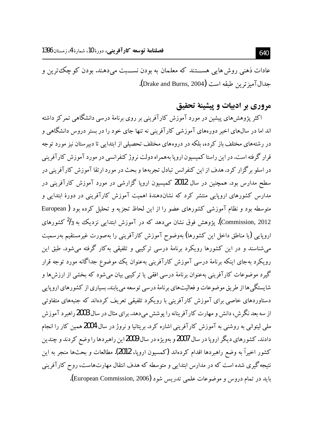عادات ذهني روش هايي هســـتند که معلمان به بودن نســـبت مي دهند. بودن کو چکٽترين و جدال آميز ترين طبقه است (Drake and Burns, 2004).

## مروري بر اديبات و پيشينهٔ تحقيق

اکثر پژوهش،های پیشین در مورد آموزش کارآفرینی بر روی برنامهٔ درسی دانشگاهی تمرکز داشته اند اما در سال@ای اخیر دورههای آموزشی کار آفرینی نه تنها جای خود را در ستر دروس دانشگاهی و در رشتههای مختلف باز کرده، بلکه در دروههای مختلف تحصیلی از ابتدایی تا دبیرستان نیز مورد توجه قرار گرفته است. در این راستا کمیسون اروپا به همراه دولت نروژ کنفرانسی در مورد آموزش کارآفرینی در اسلو برگزار کرد.هدف از این کنفرانس تبادل تجربهها و بحث در مورد ارتقا آموزش کارآفرینی در سطح مدارس بود. همچنین در سال 2012 کمیسیون اروپا گزارشی در مورد آموزش کارآفرینی در مدارس کشورهای اروپایی منتشر کرد که نشاندهندهٔ اهمیت آموزش کارآفرینی در دورهٔ ابتدایی و متوسطه بود و نظام آموزشی کشورهای عضو را از این لحاظ تجزیه و تحلیل کرده بود ( European Commission, 2012). یژوهش فوق نشان می،دهد که در آموزش ابتدایی نزدیک به <sup>2</sup>/3 کشورهای اروپایی (یا مناطق داخل این کشورها) بهوضوح آموزش کارآفرینی را بهصورت غیرمستقیم بهرسمیت می،شناسند و در این کشورها رویکرد برنامهٔ درسی ترکیبی و تلفیقی بهکار گرفته می،شود. طبق این رویکرد بهجای اینکه برنامهٔ درسی آموزش کارآفرینی بهعنوان یک موضوع جداگانه مورد توجه قرار گیرد موضوعات کارآفرینی بهعنوان برنامهٔ درسی افقی یا ترکیبی بیان می شود که بخشی از ارزش ها و شایستگی ها از طریق موضوعات و فعالیتهای برنامهٔ درسی توسعه می پابند. بسیاری از کشورهای اروپایی دستاوردهای خاصی برای آموزش کارآفرینی با رویکرد تلفیقی تعریف کردهاند که جنبههای متفاوتی از سه بعد نگرش، دانش و مهارت کارآفرینانه را پوشش میدهد. برای مثال در سال 2003 راهبرد آموزش ملي ليتواني به روشني به آموزش كارآفريني اشاره كرد. بريتانيا و نروژ در سال 2004 همين كار را انجام دادند. کشورهای دیگر اروپا در سال 2007و بهویژه در سال 2009این راهبردها را وضع کردند و چندین كشور اخيراً به وضع راهبردها اقدام كردهاند (كمسيون اروپا، 2012). مطالعات و بحثها منجر به اين نتیجه گیری شده است که در مدارس ابتدایی و متوسطه که هدف انتقال مهارتهاست، روح کارآفرینی بايد در تمام دروس و موضوعات علمي تدريس شود (European Commission, 2006).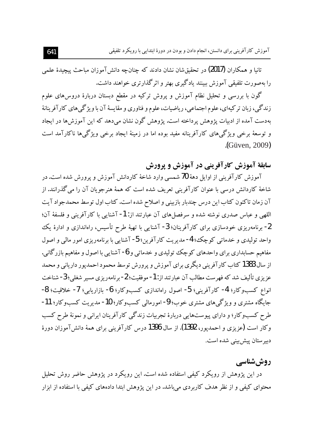تانبا و همکاران (2017) در تحقیقشان نشان دادند که چنانچه دانشTموزان مباحث پیچیدهٔ علمی را بهصورت تلفیقی آموزش ببینند یادگیری بهتر و اثرگذارتری خواهند داشت.

گون با بررسی و تحلیل نظام آموزش و پروش ترکیه در مقطع دبستان دربارهٔ دروسهای علوم زندگی، زبان ترکیهای، علوم اجتماعی، ریاضیات، علوم و فناوری و مقایسهٔ آن با ویژگیهای کارآفرینانهٔ بهدست آمده از ادبیات پژوهش پرداخته است. پژوهش گون نشان میدهد که این آموزش ها در ایجاد و توسعهٔ برخی ویژگیهای کارآفرینانه مفید بوده اما در زمینهٔ ایجاد برخی ویژگیها ناکارآمد است .(Güven, 2009)

**سابقهٔ آموزش کارآفرینی در آموزش و پرورش** 

آموزش كارآفريني از اوايل دههٔ 70 شمسي وارد شاخهٔ كاردانش آموزش و يرورش شده است.در شاخهٔ کاردانش درسی با عنوان کارآفرینی تعریف شده است که همهٔ هنرجویان آن را می گذرانند. از آن زمان تاکنون کتاب این درس چندبار بازبینی و اصلاح شده است. کتاب اول توسط محمدجواد آیت اللهي و عباس صدري نوشته شده و سرفصلهاي آن عبارتند از: 1- آشنايي با كارآفريني و فلسفهٔ آن؛ <sup>2</sup>- برنامهریزی خودسازی برای کارآفرینان؛ 3− آشنایی با تهیهٔ طرح تأسیس، راهاندازی و ادارهٔ یک واحد توليدي و خدماتي كوچك؛ 4- مديريت كارآفرين؛ 5- آشنايي با برنامەريزي امور مالي و اصول مفاهیم حسابداری برای واحدهای کوچک تولیدی و خدماتی و 6- آشنایی با اصول و مفاهیم بازرگانی. از سال 1383 کتاب کارآفرینی دیگری برای آموزش و پرورش توسط محمود احمدیور داریانی و محمد عزيزي تأليف شد كه فهرست مطالب آن عبارتند از: 1- موفقيت؛ 2- برنامهريزي مسير شغلي؛ 3- شناخت انواع كسبوكار؛ 4- كارآفريني؛ 5- اصول راهاندازي كسبوكار؛ 6- بازاريابي؛ 7- خلاقيت؛ 8-جایگاه مشتری و ویژگی های مشتری خوب؛ 9- امورمالی کسبوکار؛ 10- مدیریت کسبوکار؛ 11-طرح کسبوکار؛ و دارای پیوستهایی دربارهٔ تجربیات زندگی کارآفرینان ایرانی و نمونهٔ طرح کسب وكار است (عزيزي و احمديور، 1392). از سال 1396 درس كارآفريني براي همهٔ دانشTموزان دورهٔ دبیر ستان پیش بینی شده است.

### **روش شناسی**

در این یژوهش از رویکرد کیفی استفاده شده است. این رویکرد در یژوهش حاضر روش تحلیل محتوای کیفی و از نظر هدف کاربردی میباشد. در این پژوهش ابتدا دادههای کیفی با استفاده از ابزار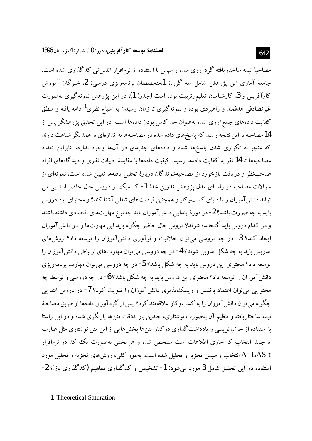مصاحبهٔ نیمه ساختاریافته گردآوری شده و سپس با استفاده از نرمافزار اتلس تی کدگذاری شده است. جامعهٔ آماری این یژوهش شامل سه گروه: 1.متخصصان برنامهریزی درسی؛ 2. خبرگان آموزش کارآفرینی و 3. کارشناسان تعلیموتربیت بوده است (جدول1). در این یژوهش نمونهگیری بهصورت غیر تصادفی هدفمند و راهبردی بوده و نمونهگیری تا زمان رسیدن به اشباع نظری<sup>1</sup> ادامه یافته و منطق کفایت دادههای جمعآوری شده بهعنوان حد کامل بودن دادهها است. در این تحقیق پژوهشگر یس از 14 مصاحبه به این نتیجه رسید که پاسخهای داده شده در مصاحبهها به اندازهای به همدیگر شباهت دارند که منجر به تکراری شدن پاسخها شده و دادههای جدیدی در آنها وجود ندارد. بنابراین تعداد مصاحبهها تا 14 نفر به کفایت دادهها رسید. کیفیت دادهها با مقایسهٔ ادبیات نظری و دیدگاههای افراد صاحب نظر و دریافت بازخورد از مصاحبهشوندگان دربارهٔ تحلیل یافتهها تعیین شده است. نمونهای از سوالات مصاحبه در راستای مدل یژوهش تدوین شد: 1- کدامیک از دروس حال حاضر ابتدایی می تواند دانش آموزان را با دنیای کسبوکار و همچنین فرصتهای شغلی آشنا کند؟ و محتوای این دروس باید به چه صورت باشد؟ 2- در دورهٔ ابتدایی دانش آموزان باید چه نوع مهارتهای اقتصادی داشته باشند و در کدام دروس باید گنجانده شوند؟ دروس حال حاضر چگونه باید این مهارتها را در دانش آموزان ایجاد کند؟ 3- در چه دروسی می توان خلاقیت و نوآوری دانشآموزان را توسعه داد؟ روشهای تدریس باید به چه شکل تدوین شوند؟ 4- در چه دروسی می توان مهارتهای ارتباطی دانش آموزان را توسعه داد؟ محتواي اين دروس بايد به چه شكل باشد؟ 5- در چه دروسي مي توان مهارت برنامهريزي دانش آموزان را توسعه داد؟ محتوای این دروس باید به چه شکل باشد؟ 6- در چه دروسی و توسط چه محتوایی می توان اعتماد بهنفس و ریسک پذیری دانش آموزان را تقویت کرد؟ 7- در دروس ابتدایی چگونه می توان دانش آموزان را به کسبوکار علاقهمند کرد؟ پس از گردآوری دادهها از طریق مصاحبهٔ نیمه ساختاریافته و تنظیم آن بهصورت نوشتاری، چندین بار بهدقت متن ها بازنگری شده و در این راستا با استفاده از حاشیهنویسی و یادداشت گذاری درکنار متنها بخش هایی از این متن نوشتاری مثل عبارت یا جمله انتخاب که حاوی اطلاعات است مشخص شده و هر بخش بهصورت یک کد در نرمافزار ATLAS t انتخاب و سپس تجزیه و تحلیل شده است. بهطور کلی، روشهای تجزیه و تحلیل مورد استفاده در این تحقیق شامل 3 مورد میشود: 1- تشخیص و کدگذاری مفاهیم (کدگذاری باز)؛ 2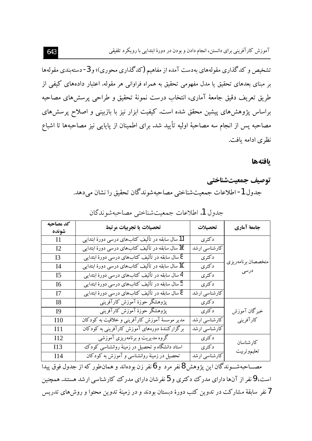تشخیص و کدگذاری مقولههای بهدست آمده از مفاهیم (کدگذاری محوری)؛ و 3- دستهبندی مقولهها بر مبنای بعدهای تحقیق یا مدل مفهومی تحقیق به همراه فراوانی هر مقوله. اعتبار دادههای کیفی از طربق تعريف دقيق جامعهٔ آماري، انتخاب درست نمونهٔ تحقيق و طراحي پرسش هاي مصاحبه براساس پژوهشهای پیشین محقق شده است. کیفیت ابزار نیز با بازبینی و اصلاح پرسشهای مصاحبه پس از انجام سه مصاحبهٔ اولیه تأیید شد. برای اطمینان از پایایی نیز مصاحبهها تا اشباع نظري ادامه بافت.

#### بافتهها

# توصيف جمعيتشناختي جدول 1- اطلاعات جمعيت شناختي مصاحبهشوندگان تحقيق را نشان مي دهد.

| كد مصاحبه       | تحصيلات يا تجربيات مرتبط                         | تحصيلات       | جامعة آماري        |
|-----------------|--------------------------------------------------|---------------|--------------------|
| شونده           |                                                  |               |                    |
| $\mathbf{I}$    | 11 سال سابقه در تألیف کتابهای درسی دورهٔ ابتدایی | دكترى         |                    |
| 12              | 16 سال سابقه در تألیف کتابهای درسی دورهٔ ابتدایی | كارشناسي ارشد |                    |
| I3              | 8سال سابقه در تألیف کتابهای درسی دورهٔ ابتدایی   | دكترى         | متخصصان برنامهريزي |
| I4              | 10 سال سابقه در تألیف کتابهای درسی دورهٔ ابتدایی | دكترى         |                    |
| I5              | 4 سال سابقه در تألیف کتابهای درسی دورهٔ ابتدایی  | دكترى         | درسی               |
| 16              | 5 سال سابقه در تألیف کتابهای درسی دورهٔ ابتدایی  | دكترى         |                    |
| 17              | 8سال سابقه در تألیف کتابهای درسی دورهٔ ابتدایی   | كارشناسي ارشد |                    |
| 18              | پژوهشگر حوزهٔ آموزش کارآفرینبی                   | دكترى         |                    |
| <b>I</b> 9      | پژوهشگر حوزهٔ آموزش کارآفرینی                    | دكترى         | خبرگان آموزش       |
| I10             | مدیر موسسهٔ آموزش کارآفرینبی و خلاقیت به کودکان  | كارشناسي ارشد | كارآفريني          |
| I11             | برگزارکنندهٔ دورههای آموزش کارآفرینی به کودکان   | كارشناسي ارشد |                    |
| I <sub>12</sub> | گروه مدیریت و برنامهریزی آموزشی                  | دكترى         | كارشناسان          |
| I13             | استاد دانشگاه و تحصیل در زمینهٔ روانشناسی کودک   | دكترى         | تعليموتربيت        |
| I14             | تحصیل در زمینهٔ روانشناسی و آموزش به کودکان      | كارشناسي ارشد |                    |

جدول 1. اطلاعات جمعیتشناختی مصاحبهشوندگان

مصـــاحبهشـــوندگان اين يژوهش 8نفر مرد و 6نفر زن بودهاند و همان $\det$ ور كه از جدول فوق ييدا است، 9 نفر از آنها دارای مدرک دکتری و 5 نفرشان دارای مدرک کارشناسی ارشد هستند. همچنین 7نفر سابقهٔ مشارکت در تدوین کتب دورهٔ دبستان بودند و در زمینهٔ تدوین محتوا و روش۵ای تدریس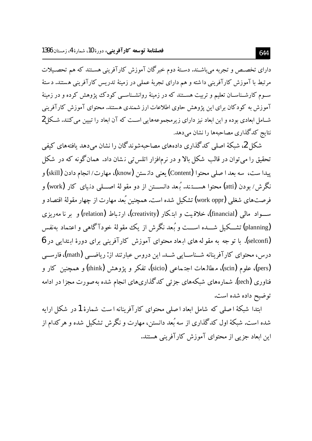دارای تخصـص و تجربه می باشـند. دسـتهٔ دوم خبر گان آموزش کارآفرینی هسـتند که هم تحصـیلات مرتبط با آموزش کارآفرینی داشته و هم دارای تجربهٔ عملی در زمینهٔ تدریس کارآفرینی هستند. دستهٔ سـوم کارشـناسـان تعلیم و تربیت هســتند که در زمینهٔ روانشــناســی کودک یژوهش کرده و در زمینهٔ آموزش به کودکان برای این پژوهش حاوی اطلاعات ارز شمندی هستند. محتوای آموزش کارآفرینی شـامل ابعادی بوده و این ابعاد نیز دارای زیرمجموعههایی اسـت که آن ابعاد را تبیین می کنند. شـکا 2 نتایج کدگذاری مصاحبهها را نشان می دهد.

شکل 2، شبکهٔ اصلی کدگذاری دادههای مصاحبهشوندگان را نشان می دهد یافتههای کیفی تحقیق را می توان در قالب شکل بالا و در نرمافزار اتلس تی نشان داد. همان گونه که در شکل يبدا ست، سه بعد ا صلي محتوا (Content) يعني دانـستن (know)، مهارت/ انجام دادن (skill) و نگرش/ بودن (atti**) مح**توا هســــتـند. بُـعد دانســـتن از دو مقو لهٔ اصــــلى دنـياى كار (work) و فرصتهای شغلی (work oppr) تشکیل شده است. همچنین بُعد مهارت از چهار مقولهٔ اقتصاد و ســواد مالي (financial)، خلاقيت و ايتكار (creativity)، ارتباط (relation) و پر نا مەرىزى (planning) تشـــکیل شــــده اســـت و بُـعد نگرش از یک مقولهٔ خودآگاهی و اعتماد بهنفس (selconfi). با تو جه به مقو له های ارماد محتوای آموزش کارآفرینی برای دورهٔ ایتدایی در 6 درس، محتواي كارآفرينانه شــناســايي شــد. اين دروس عبارتند از: رياضــي (math)، فارســي (pers)، علوم (scin)، مطالعات اجتہماعی (sicio)، تفکر و یژوهش (think) و همچنین کار و فناوری (tech). شمارههای شبکههای جزئی کدگذاریهای انجام شده به صورت مجزا در ادامه توضيح داده شده است.

ابتدا شبکهٔ اصلی که شامل ابعاد اصلی محتوای کارآفرینانه است شمارهٔ 1در شکل ارایه شده است. شبکهٔ اول کدگذاری از سه بُعد دانستن، مهارت و نگرش تشکیل شده و هر کدام از این ابعاد جزیی از محتوای آموزش کارآفرینی هستند.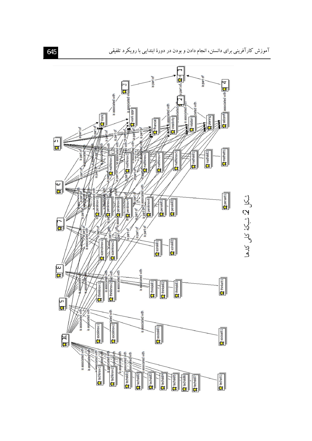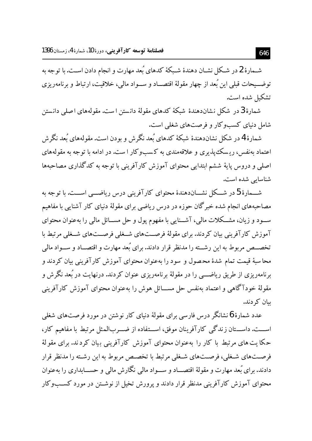شـمارهٔ 2 در شـكل نشـان دهندهٔ شـبكهٔ كدهای بُعد مهارت و انجام دادن اسـت. با توجه به توضـــيحات قبلي اين بُعد از چهار مقولهٔ اقتصـــاد و ســـواد مالي، خلاقيت، ارتباط و برنامهريزي تشكيل شده است.

شمارهٔ 3در شکا ٍ نشاندهندهٔ شبکهٔ کدهای مقولهٔ دانستن است. مقولههای اصلی دانستن شامل دنیای کسبوکار و فرصتهای شغلی است.

شمارهٔ 4در شکل نشاندهندهٔ شبکهٔ کدهای بُعد نگرش و بودن است. مقولههای بُعد نگرش اعتماد بهنفس، ریسک پذیری و علاقهمندی به کسبوکار ا ست. در ادامه با توجه به مقولههای اصلی و دروس پایهٔ ششم ابتدایی محتوای آموزش کارآفرینی با توجه به کدگذاری مصاحبهها شناسایی شده است.

شـــمارهٔ 5 در شـــکل نشـــاندهندهٔ محتوای کارآفرینی درس ریاضـــی اســـت. با توجه به مصاحبههای انجام شده خبرگان حوزه در درس ریاضی برای مقولهٔ دنیای کار آشنایی با مفاهیم ســود و زیان، مشــکلات مالی، آشــنایی با مفهوم پول و حل مســائل مالی را بهعنوان محتوای آموزش کارآفرینی بیان کردند. برای مقولهٔ فرصــتهای شــغلم فرصــتهای شــغلم , مرتبط با تخصــص مربوط به این رشــته را مدنظر قرار دادند. برای بُعد مهارت و اقتصــاد و ســواد مالی محاسبهٔ قیمت تمام شدهٔ محصول و سود را بهعنوان محتوای آموزش کارآفرینی بیان کردند و برنامهریزی از طریق ریاضــــی را در مقولهٔ برنامهریزی عنوان کردند. درنهایت در بُعد نگرش و مقولهٔ خودآگاهی و اعتماد بهنفس حل مســـائل هوش را بهعنوان محتوای آموزش کارآفرینی ىبان كى دند.

عدد شمارهٔ 6 نشانگر درس فارسی برای مقولهٔ دنیای کار نوشتن در مورد فرصتهای شغلی اســـت. داســـتان زندگی کارآفرینان موفق، اســـتفاده از ضـــربالمثل مرتبط با مفاهیم کار، حکایت های مرتبط با کار را بهعنوان محتوای آموزش کارآفرینی بیان کردند. برای مقولهٔ فرصتهای شـغلی، فرصـتهای شـغلی مرتبط با تخصـص مربوط به این رشـته را مدنظر قرار دادند. برای بُعد مهارت و مقولهٔ اقتصـــاد و ســـواد مالی نگارش مالی و حســـابداری را بهعنوان محتوای آموزش کارآفرینی مدنظر قرار دادند و پرورش تخیل از نوشــتن در مورد کســبوکار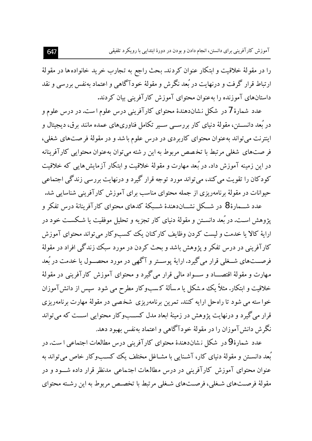را در مقولهٔ خلاقیت و ابتکار عنوان کردند. بحث راجع به تجارب خرید خانوادهها در مقولهٔ ارتباط قرار گرفت و درنهایت در بُعد نگرش و مقولهٔ خودآگاهی و اعتماد بهنفس بررسی و نقد داستانهای آموزنده را بهعنوان محتوای آموزش کارآفرینی بیان کردند.

عدد شمارهٔ 7در شکل نشاندهندهٔ محتوای کارآفرینی درس علوم است. در درس علوم و در بُعد دانســتن، مقولهٔ دنیای کار بررســی ســیر تکامل فناوریهای عمده مانند برق، دیجیتال و اینترنت می تواند بهعنوان محتوای کاربردی در درس علوم با شد و در مقولهٔ فر صتهای شغلی، فر صتهای شغلی مرتبط با تخصص مربوط به این رشته می توان بهعنوان محتوایی کارآفرینانه در این زمینه آموزش داد. در بُعد مهارت و مقولهٔ خلاقیت و ابتکار آزمایش هایی که خلاقیت کودکان را تقویت می کند، می تواند مورد توجه قرار گیرد و درنهایت بررسی زندگی اجتماعی حیوانات در مقولهٔ برنامهریزی از جمله محتوای مناسب برای آموزش کارآفرینی شناسایی شد.

عدد شـــمارهٔ 8 در شـــکل نشـــان(دهندهٔ شـــبکهٔ کدهای محتوای کارآفرینانهٔ درس تفکر و یژوهش اسـت. در بُعد دانسـتن و مقولهٔ دنیای کار تجزیه و تحلیل موفقیت یا شـکسـت خود در اراية كالا يا خدمت و ليست كردن وظايف كاركنان يك كسب وكار مي تواند محتواي آموزش کارآفرینی در درس تفکر و پژوهش باشد و بحث کردن در مورد سبک زندگی افراد در مقولهٔ فرصـــتـهای شـــغلمی قرار می گیرد. ارایهٔ یوســتر و آگهی در مورد محصــول یا خدمت در بُعد مهارت و مقولهٔ اقتصـــاد و ســـواد مالي قرار مي گيرد و محتواي آموزش کارآفريني در مقولهٔ خلاقیت و ابتکار. مثلاً یک مشکل یا مسألهٔ کسبوکار مطرح می شود سیس از دانش آموزان خوا سته می شود تا راهحل ارایه کنند. تمرین برنامهریزی شخصی در مقولهٔ مهارت برنامهریزی قرار مي گيرد و درنهايت پژوهش در زمينهٔ ابعاد مدل كســـبوكار محتوايي اســت كه مي تواند نگرش دانش آموزان را در مقولهٔ خودآگاهی و اعتماد بهنفس بهبود دهد.

عدد شمارهٔ 9در شکل نشاندهندهٔ محتوای کارآفرینی درس مطالعات اجتماعی ا ست. در بُعد دانسـتن و مقولهٔ دنیای کار، آشـنایی با مشـاغل مختلف یک کسـبوکار خاص می تواند به عنوان محتوای آموزش کارآفرینی در درس مطالعات اجتماعی مدنظر قرار داده شـــود و در مقولهٔ فرصــتهای شـغلی، فرصــتهای شـغلی مرتبط با تخصـص مربوط به این رشـته محتوای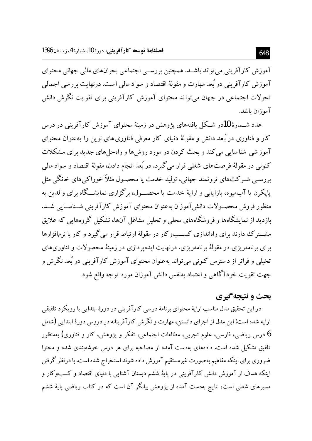آموزش کارآفرینی می تواند باشـد. همچنین بررســی اجتماعی بحرانهای مالی جهانی محتوای آموزش کارآفرینی در بُعد مهارت و مقولهٔ اقتصاد و سواد مالی است. درنهایت بررسی اجمالی تحولات اجتماعی در جهان می تواند محتوای آموزش کارآفرینی برای تقویت نگرش دانش آموزان ىاشد.

عدد شــمارهٔ 10در شــکل یافتههای یژوهش در زمینهٔ محتوای آموزش کارآفرینی در درس کار و فناوری در بُعد دانش و مقولهٔ دنیای کار معرفی فناوری های نوین را بهعنوان محتوای آموز شي شناسايي مي کند و بحث کردن در مورد روش ها و راه حل هاي جديد براي مشکلات کنوني در مقولهٔ فرصتهاي شغلي قرار مي گيرد. در بُعد انجام دادن، مقولهٔ اقتصاد و سواد مالي بررسے شـرکتھای ثروتمند جھانی، تولید خدمت یا محصـول مثلاً خوراکے ہای خانگے مثل پاپکرن یا آبمیوه، بازایابی و ارایهٔ خدمت یا محصـول، برگزاری نمایشــگاه برای والدین به منظور فروش محصب لات دانش آموزان بهعنوان محتواي آموزش كارآفريني شـناسـايي شـد. بازدید از نمایشگاهها و فروشگاههای محلی و تحلیل مشاغل آنها، تشکیل گروههایی که علایق مشت ک دارند برای راهاندازی کســبوکار در مقولهٔ ارتباط قرار می گیرد و کار با نرمافزارها برای برنامهریزی در مقولهٔ برنامهریزی. درنهایت ایده پردازی در زمینهٔ محصولات و فناوریهای تخیلی و فراتر از د سترس کنونی می تواند بهعنوان محتوای آموزش کارآفرینی در بُعد نگر ش و جهت تقويت خودآگاهي و اعتماد بهنفس دانش آموزان مورد توجه واقع شود.

### بحث و نتيجه گيري

در این تحقیق مدل مناسب ارایهٔ محتوای برنامهٔ درسی کارآفرینی در دورهٔ ابتدایی با رویکرد تلفیقی ارایه شده است: این مدل از اجزای دانستن، مهارت و نگر ش کارآفرینانه در دروس دورهٔ ابتدایی (شامل **6** درس ریاضی، فارسی، علوم تجربی، مطالعات اجتماعی، تفکر و یژوهش، کار و فناوری) بهمنظور تلفیق تشکیل شده است. دادههای بهدست آمده از مصاحبه برای هر درس خوشهبندی شده و محتوا ضروری برای اینکه مفاهیم بهصورت غیرمستقیم آموزش داده شوند استخراج شده است. با درنظر گرفتن اینکه هدف از آموزش دانش کارآفرینی در پایهٔ ششم دبستان آشنایی با دنیای اقتصاد و کسبوکار و مسیرهای شغلی است، نتایج بهدست آمده از پژوهش بیانگر آن است که در کتاب ریاضی پایهٔ ششم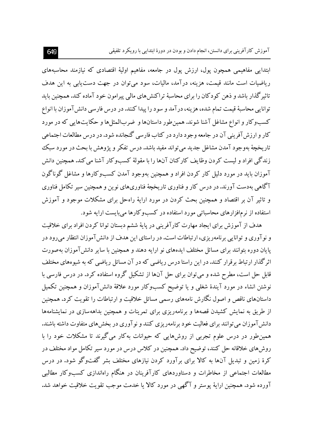ابتدایی مفاهیمی همچون پول، ارزش پول در جامعه، مفاهیم اولیهٔ اقتصادی که نیازمند محاسبههای ریاضیات است مانند قیمت، هزینه، درآمد، مالیات، سود می توان در جهت دست یابی به این هدف تاثیر گذار باشد و ذهن کودکان را برای محاسبهٔ تراکنش های مالی پیرامون خود آماده کند. همچنین باید توانایی محاسبهٔ قیمت تمام شده، هزینه، درآمد و سود را پیدا کنند. در درس فارسی دانش آموزان با انواع کسبوکار و انواع مشاغل آشنا شوند. همین طور داستانها و ضربالمثل ها و حکایتهایی که در مورد کار و ارزش آفرینی آن در جامعه وجود دارد در کتاب فارسی گنجانده شود. در درس مطالعات اجتماعی تاريخچهٔ بهوجود آمدن مشاغل جديد مي تواند مفيد باشد. درس تفكر و يژوهش با بحث در مورد سبك زندگی افراد و لیست کردن وظایف کارکنان آنها را با مقولهٔ کسبوکار آشنا می کند. همچنین دانش آموزان باید در مورد دلیل کار کردن افراد و همچنین بهوجود آمدن کسبوکارها و مشاغل گوناگون آگاهی بهدست آورند.در درس کار و فناوری تاریخچهٔ فناوریهای نوین و همچنین سیر تکامل فناوری و تاثیر آن بر اقتصاد و همچنین بحث کردن در مورد ارایهٔ راهحل برای مشکلات موجود و آموزش استفاده از نرمافزارهای محاسباتی مورد استفاده در کسبوکارها می بایست ارایه شود.

هدف از آموزش برای ایجاد مهارت کارآفرینی در پایهٔ ششم دبستان توانا کردن افراد برای خلاقیت و نوآوری و توانایی برنامهریزی، ارتباطات است. در راستای این هدف از دانش آموزان انتظار میرود در پایان دوره بتوانند برای مسائل مختلف ایدههای نو ارایه دهند و همچنین با سایر دانش آموزان بهصورت اثرگذار ارتباط برقرار کنند. در این راستا درس ریاضی که در آن مسائل ریاضی که به شیوههای مختلف قابل حل است، مطرح شده و می توان برای حل آنها از تشکیل گروه استفاده کرد. در درس فارسی با نوشتن انشاء در مورد آیندهٔ شغلبی و یا توضیح کسبوکار مورد علاقهٔ دانش آموزان و همچنین تکمیل داستانهای ناقص و اصول نگارش نامههای رسمی مسائل خلاقیت و ارتباطات را تقویت کرد. همچنین از طریق به نمایش کشیدن قصهها و برنامهریزی برای تمرینات و همچنین بداههسازی در نمایشنامهها دانش آموزان می توانند برای فعالیت خود برنامهریزی کنند و نو آوری در بخش های متفاوت داشته باشند. همین طور در درس علوم تجربی از روشهایی که حیوانات به کار می گیرند تا مشکلات خود را با روشهای خلاقانه حل کنند، توضیح داد. همچنین در کلاس درس در مورد سیر تکامل مواد مختلف در کرهٔ زمین و تبدیل آنها به کالا برای برآورد کردن نیازهای مختلف بشر گفتوگو شود. در درس مطالعات اجتماعی از مخاطرات و دستاوردهای کارآفرینان در هنگام راهاندازی کسبوکار مطالبی آورده شود. همچنین ارایهٔ یوستر و آگهی در مورد کالا یا خدمت موجب تقویت خلاقیت خواهد شد.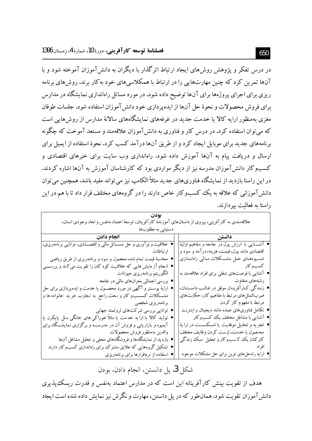در درس تفکر و یژوهش روش های ایجاد ارتباط اثر گذار با دیگران به دانش آموزان آموخته شود و با آنها تمرین کرد که چنین مهارتهایی را در ارتباط با همکلاسی های خود به کار برند. روش های برنامه ریزی برای اجرای پروژهها برای آنها توضیح داده شود. در مورد مسائل راهاندازی نمایشگاه در مدارس برای فروش محصولات و نحوهٔ حل آنها از ایده پردازی خود دانش آموزان استفاده شود. جلسات طوفان مغزی بهمنظور ارایه کالا یا خدمت جدید در غرفههای نمایشگاههای سالانهٔ مدارس از روش هایی است که می توان استفاده کرد. در درس کار و فناوری به دانش آموزان علاقهمند و مستعد آموخت که چگونه برنامههای جدید برای موبایل ایجاد کرد و از طریق آنها در آمد کسب کرد. نحوهٔ استفاده از ایمیل برای ارسال و دریافت پیام به آنها آموزش داده شود. راهاندازی وب سایت برای خبرهای اقتصادی و کسب وکار دانش آموزان مدرسه نیز از دیگر مواردی بود که کارشناسان آموزش به آنها اشاره کردند. در این راستا بازدید از نمایشگاه فناوریهای جدید مثلاً الکامپ نیز می تواند مفید باشد. همچنین می توان دانش آموزانی که علاقه به یک کسبوکار خاص دارند را در گروههای مختلف قرار داد تا با هم در این راستا به فعالیت بیردازند.

| علاقهمندی به کارآفرینی، پیروی از داستانهای آموزندهٔ کارآفرینان، توسعهٔ اعتماد بهنفس و ابعاد وجودی انسان، |                                                     |  |  |  |
|----------------------------------------------------------------------------------------------------------|-----------------------------------------------------|--|--|--|
| دستیابی به مطلوبها                                                                                       |                                                     |  |  |  |
| انجام دادن                                                                                               | دانستن                                              |  |  |  |
| خلاقیت و نوآوری و حل مســـائل مالی و اقتصـــادی، توانایی برنامهریزی،                                     | ● آشـــنايي با ارزش پول در جامعه و مفاهيم اوليهٔ    |  |  |  |
| ارتباطات                                                                                                 | اقتصادی مانند پول، قیمت، هزینه، در آمد و سود و      |  |  |  |
| محاسبهٔ قیمت تمام شده محصول و سود و برنامهریزی از طریق ریاضی                                             | شـــــیوههــای حــل مشــــکلات مــالمی راهانـــدازی |  |  |  |
| ● انـجام آز مایش هایی که خلاقیت کود کان را تقو یت میکند و بررســـی                                       | کسب و کار                                           |  |  |  |
| الگوريتم برنامهريزي حيوانات                                                                              | ● آشنایی با فرصتهای شغلی برای افراد علاقهمند به     |  |  |  |
| ● بررسي اجمالي بحرانهاي مالي در جامعه                                                                    | رشتههای متفاوت                                      |  |  |  |
| • ارایهٔ پوســتر و آگهی در مورد محصــول یا خدمت و ایدهپردازی برای حل                                     | ● زنـدگي كـارآفرينـان موفق در قـالـب داســـتـان،    |  |  |  |
| مشــکلات کســــبو کار و بـحث راجع به تـجارب خر ید خانواده ها و                                           | ضربالمثل هاي مرتبط با مفاهيم كار، حكايتهاي          |  |  |  |
| برنامەريزى شخصي                                                                                          | مرتبط با مفهوم کار کردن                             |  |  |  |
| ● توانایی بررسی شرکتهای ثروتمند جهانی                                                                    | ● تکامل فناوریهای عمده مانند دیجیتال و اینترنت      |  |  |  |
| ● تولید کالا یا ارا یه خدمت یا مثلاً خوراکی های خانگی مثل پاپکرن یا                                      | ● آشنایی با مشاغل مختلف یک کسبوکار                  |  |  |  |
| آبمیوه و بازاریابی و فروش آن در مدرســـه و برگزاری نـمایشـــگاه برای                                     | ● تجزیه و تحلیل موفقیت یا شـــکســـت در ارایهٔ      |  |  |  |
| والدين بهمنظور فروش محصولات                                                                              | محصول يا خدمت، ليست كردن وظايف مختلف                |  |  |  |
| ● بازدید از نمایشگاهها و فروشگاههای محلی و تحلیل مشاغل آنها                                              | کارکنان یک کاسبوکار و تحلیل سبک زندگی               |  |  |  |
| <sup>،</sup> تشکیل گروههایی که علایق مشترک برای راهاندازی کسبوکار دارند                                  | افر اد                                              |  |  |  |
| ● استفاده از نرمافزارها برای برنامهریزی                                                                  | ● ارایه راهحلهای نوین برای حل مشکلات موجود          |  |  |  |

شكل 3. يل دانستن، انجام دادن، بو دن

هدف از تقویت بینش کارآفرینانه این است که در مدارس اعتماد بهنفس و قدرت ریسک پذیری دانش آموزان تقویت شود. همان طور که در یل دانستن، مهارت و نگرش نیز نمایش داده شده است ایجاد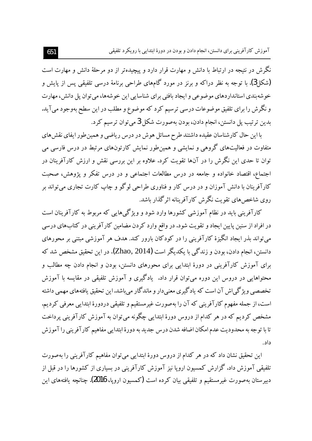نگرش در نتیجه در ارتباط با دانش و مهارت قرار دارد و پیچیدهتر از دو مرحلهٔ دانش و مهارت است (شکل3). با توجه به نظر دراکه و برنز در مورد گامهای طراحی برنامهٔ درسی تلفیقی پس از پایش و خوشهبندی استانداردهای موضوعی و ایجاد بافتی برای شناسایی این خوشهها، می توان پل دانش، مهارت و نگرش را برای تلفیق موضوعات درسی ترسیم کرد که موضوع و مطلب در این سطح بهوجود می آید. بدين ترتيب پل دانستن، انجام دادن، بودن بهصورت شكل 3 مي توان ترسيم كرد.

با این حال کارشناسان عقیده داشتند طرح مسائل هوش در درس ریاضی و همین طور ایفای نقش های متفاوت در فعالیتهای گروهی و نمایشی و همینطور نمایش کارتونهای مرتبط در درس فارسی می توان تا حدی این نگرش را در آنها تقویت کرد. علاوه بر این بررسی نقش و ارزش کارآفرینان در اجتماع، اقتصاد خانواده و جامعه در درس مطالعات اجتماعی و در درس تفکر و یژوهش، صحبت کارآفرینان با دانش آموزان و در درس کار و فناوری طراحی لوگو و چاپ کارت تجاری می تواند بر روی شاخص های تقویت نگرش کارآفرینانه اثرگذار باشد.

کارآفرینی باید در نظام آموزشی کشورها وارد شود و ویژگیهایی که مربوط به کارآفرینان است در افراد از سنین پایین ایجاد و تقویت شود. در واقع وارد کردن مضامین کارآفرینی در کتابهای درسی می تواند بذر ایجاد انگیزهٔ کارآفرینی را در کودکان بارور کند. هدف هر آموزشی مبتنی بر محورهای دانستن، انجام دادن، بودن و زندگی با یکدیگر است (Zhao, 2014). در این تحقیق مشخص شد که برای آموزش کارآفرینی در دورهٔ ابتدایی برای محورهای دانستن، بودن و انجام دادن چه مطالب و محتواهایی در دروس این دوره می توان قرار داد. یادگیری و آموزش تلفیقی در مقایسه با آموزش تخصصی ویژگیاش آن است که یادگیری معنیدار و ماندگار میباشد.این تحقیق یافتههای مهمی داشته است، از جمله مفهوم کارآفرینی که آن را بهصورت غیرمستقیم و تلفیقی دردورهٔ ابتدایی معرفی کردیم. مشخص کردیم که در هر کدام از دروس دورهٔ ابتدایی چگونه می توان به آموزش کارآفرینی پرداخت تا با توجه به محدوديت عدم امكان اضافه شدن درس جديد به دورهٔ ابتدايي مفاهيم كارآفريني را آموزش داد.

این تحقیق نشان داد که در هر کدام از دروس دورهٔ ابتدایی میتوان مفاهیم کارآفرینی را بهصورت تلفیقی آموزش داد. گزارش کمسیون اروپا نیز آموزش کارآفرینی در بسیاری از کشورها را در قبل از دبیر ستان بهصورت غیرمستقیم و تلفیقی بیان کرده است (کمسیون ارویا، 2016). چنانچه یافتههای این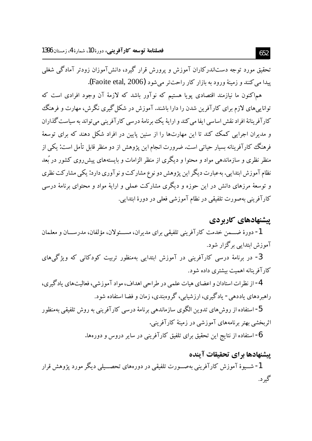۔<br>تحقیق مورد توجه دستاندرکاران آموزش و یرورش قرار گیرد، دانش آموزان زودتر آمادگی شغلی يبدا مي كنند و زمينهٔ ورود به بازار كار راحت تر مي شود (Faoite etal, 2006).

هم|کنون ما نیازمند اقتصادی پویا هستیم که نوآور باشد که لازمهٔ آن وجود افرادی است که تواناییهای لازم برای کارآفرین شدن را دارا باشند. آموزش در شکل گیری نگرش، مهارت و فرهنگ کار آفرینانهٔ افراد نقش اساسی ایفا می کند و ارایهٔ یک برنامهٔ درسی کار آفرینی می تواند به سیاست گذاران و مدیران اجرایی کمک کند تا این مهارتها را از سنین پایین در افراد شکل دهند که برای توسعهٔ فرهنگ کارآفرینانه بسیار حیاتی است. ضرورت انجام این یژوهش از دو منظر قابل تأمل است: یکی از منظر نظری و سازماندهی مواد و محتوا و دیگری از منظر الزامات و بایستههای پیش روی کشور در بُعد نظام آموزش ابتدایی. به عبارت دیگر این پژوهش دو نوع مشارکت و نو آوری دارد: یکی مشارکت نظری و توسعهٔ مرزهای دانش در این حوزه و دیگری مشارکت عملی و ارایهٔ مواد و محتوای برنامهٔ درسی كارآفريني بهصورت تلفيقي در نظام آموزشي فعلي در دورهٔ ابتدايي.

### پیشنهادهای کاربردی

1- دورهٔ ضِمِين خِدمت كارآفريني تلفيقي براي مديران، مســئولان، مؤلفان، مدرســان و معلمان آموزش ایتدایی برگزار شود.

3- در برنامهٔ درسی کارآفرینی در آموزش ابتدایی بهمنظور تربیت کودکانی که ویژگیهای کار آفر ینانه اهمیت بیشتری داده شود.

4- از نظرات استادان و اعضای هیات علمی در طراحی اهداف، مواد آموزشی، فعالیتهای یادگیری، راهبر دهای یاددهی- یادگیری، ارزشیابی، گروهبندی، زمان و فضا استفاده شود.

5- استفاده از روش های تدوین الگوی سازماندهی برنامهٔ درسی کار آفرینی به روش تلفیقی بهمنظور اثربخشی بهتر برنامههای آموزشی در زمینهٔ کارآفرینی.

6- استفاده از نتایج این تحقیق برای تلفیق کارآفرینی در سایر دروس و دورهها.

### پیشنهادها برای تحقیقات آینده

1- شـــيوهٔ آموزش کارآفريني بهصــورت تلفيقي در دورههاي تحصـــيلي ديگر مورد يژوهش قرار گه د.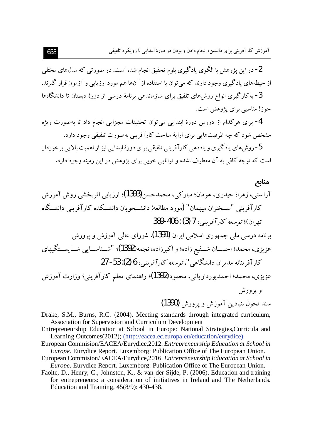2- در این پژوهش با الگوی یادگیری بلوم تحقیق انجام شده است. در صورتبی که مدل۵های مختلبی از حیطههای یادگیری وجود دارند که می توان با استفاده از آنها هم مورد ارزیابی و آزمون قرار گیرند. 3- به کار گیری انواع روش های تلفیق برای سازماندهی برنامهٔ درسی از دورهٔ دستان تا دانشگاهها جو ز ۂ مناسبے پر ای پڑوهش است.

4- برای هرکدام از دروس دورهٔ ابتدایی می توان تحقیقات مجزایی انجام داد تا بهصورت ویژه مشخص شود که چه ظرفیتهایی برای ارایهٔ مباحث کار آفرینی بهصورت تلفیقی وجود دارد.

5- روش های بادگیری و باددهی کار آفرینی تلفیقی برای دورهٔ ابتدایی نیز از اهمیت بالایی برخوردار است که توجه کافی به آن معطوف نشده و توانایی خوبی برای پژوهش در این زمینه وجود دارد.

منابع آراستے، زہرا؛ حیدری، ہومان؛ مبار کے، محمدحسن(1393)؛ ارزیابے اثریخشے روش آموزش كار آفريني "ســخنران مبهمان" (مورد مطالعه: دانشــجويان دانشــكده كار آفريني دانشــگاه تھ ان)؛ توسع*ه کار آفرینی*، 7 (3) : 406-389 برنامه درسی ملی جمهوری اسلامی ایران (1391). شورای عالی آموزش و یرورش عزيزي، محمد؛ احســـان شـــفيع زاده؛ و اكبرزاده، نجمه(1392)؛ "شـــناســـايي شـــايســـتگيهاي كار آفر بنانه مديران دانشگاهي ". توسعه كارآفريني، 6 (2): 53- 27 عزيزي، محمد؛ احمديوردارياني، محمود(1392)؛ راهنماي معلم كارآفريني؛ وزارت آموزش و پرورش سند تحول بنيادين آموزش ويرورش (1390)

Drake, S.M., Burns, R.C. (2004). Meeting standards through integrated curriculum, Association for Supervision and Curriculum Development

- Entrepreneurship Education at School in Europe: National Strategies, Curricula and Learning Outcomes(2012); (http://eacea.ec.europa.eu/education/eurydice).
- European Commision/EACEA/Eurydice, 2012. Entrepreneurship Education at School in *Europe*. Eurydice Report. Luxemborg: Publication Office of The European Union.
- European Commision/EACEA/Eurydice, 2016. Entrepreneurship Education at School in *Europe*. Eurydice Report. Luxemborg: Publication Office of The European Union.
- Faoite, D., Henry, C., Johnston, K., & van der Sijde, P. (2006). Education and training for entrepreneurs: a consideration of initiatives in Ireland and The Netherlands. Education and Training,  $45(8/9)$ : 430-438.